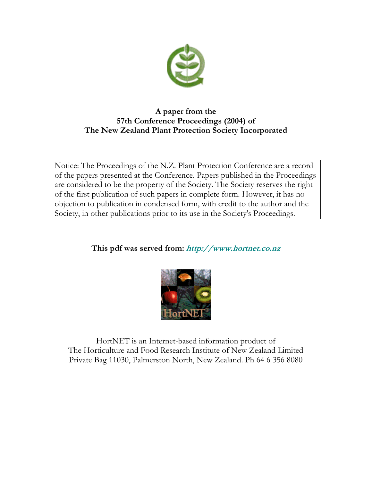

# **A paper from the 57th Conference Proceedings (2004) of The New Zealand Plant Protection Society Incorporated**

Notice: The Proceedings of the N.Z. Plant Protection Conference are a record of the papers presented at the Conference. Papers published in the Proceedings are considered to be the property of the Society. The Society reserves the right of the first publication of such papers in complete form. However, it has no objection to publication in condensed form, with credit to the author and the Society, in other publications prior to its use in the Society's Proceedings.

# **This pdf was served from: http://www.hortnet.co.nz**



HortNET is an Internet-based information product of The Horticulture and Food Research Institute of New Zealand Limited Private Bag 11030, Palmerston North, New Zealand. Ph 64 6 356 8080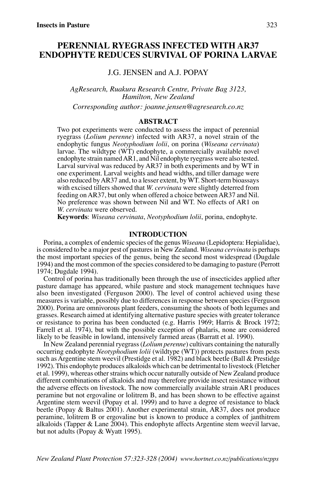# **PERENNIAL RYEGRASS INFECTED WITH AR37 ENDOPHYTE REDUCES SURVIVAL OF PORINA LARVAE**

J.G. JENSEN and A.J. POPAY

*AgResearch, Ruakura Research Centre, Private Bag 3123, Hamilton, New Zealand*

*Corresponding author: joanne.jensen@agresearch.co.nz*

### **ABSTRACT**

Two pot experiments were conducted to assess the impact of perennial ryegrass (*Lolium perenne*) infected with AR37, a novel strain of the endophytic fungus *Neotyphodium lolii*, on porina (*Wiseana cervinata*) larvae. The wildtype (WT) endophyte, a commercially available novel endophyte strain named AR1, and Nil endophyte ryegrass were also tested. Larval survival was reduced by AR37 in both experiments and by WT in one experiment. Larval weights and head widths, and tiller damage were also reduced by AR37 and, to a lesser extent, by WT. Short-term bioassays with excised tillers showed that *W. cervinata* were slightly deterred from feeding on AR37, but only when offered a choice between AR37 and Nil. No preference was shown between Nil and WT. No effects of AR1 on *W. cervinata* were observed.

**Keywords**: *Wiseana cervinata*, *Neotyphodium lolii*, porina, endophyte.

# **INTRODUCTION**

Porina, a complex of endemic species of the genus *Wiseana* (Lepidoptera: Hepialidae), is considered to be a major pest of pastures in New Zealand. *Wiseana cervinata* is perhaps the most important species of the genus, being the second most widespread (Dugdale 1994) and the most common of the species considered to be damaging to pasture (Perrott 1974; Dugdale 1994).

Control of porina has traditionally been through the use of insecticides applied after pasture damage has appeared, while pasture and stock management techniques have also been investigated (Ferguson 2000). The level of control achieved using these measures is variable, possibly due to differences in response between species (Ferguson 2000). Porina are omnivorous plant feeders, consuming the shoots of both legumes and grasses. Research aimed at identifying alternative pasture species with greater tolerance or resistance to porina has been conducted (e.g. Harris 1969; Harris & Brock 1972; Farrell et al. 1974), but with the possible exception of phalaris, none are considered likely to be feasible in lowland, intensively farmed areas (Barratt et al. 1990).

In New Zealand perennial ryegrass (*Lolium perenne*) cultivars containing the naturally occurring endophyte *Neotyphodium lolii* (wildtype (WT)) protects pastures from pests such as Argentine stem weevil (Prestidge et al. 1982) and black beetle (Ball & Prestidge 1992). This endophyte produces alkaloids which can be detrimental to livestock (Fletcher et al. 1999), whereas other strains which occur naturally outside of New Zealand produce different combinations of alkaloids and may therefore provide insect resistance without the adverse effects on livestock. The now commercially available strain AR1 produces peramine but not ergovaline or lolitrem B, and has been shown to be effective against Argentine stem weevil (Popay et al. 1999) and to have a degree of resistance to black beetle (Popay & Baltus 2001). Another experimental strain, AR37, does not produce peramine, lolitrem B or ergovaline but is known to produce a complex of janthitrem alkaloids (Tapper & Lane 2004). This endophyte affects Argentine stem weevil larvae, but not adults (Popay & Wyatt 1995).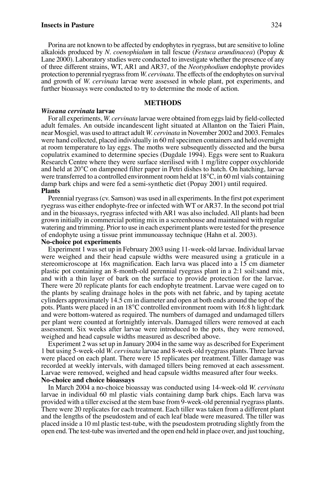Porina are not known to be affected by endophytes in ryegrass, but are sensitive to loline alkaloids produced by *N. coenophialum* in tall fescue (*Festuca arundinacea*) (Popay & Lane 2000). Laboratory studies were conducted to investigate whether the presence of any of three different strains, WT, AR1 and AR37, of the *Neotyphodium* endophyte provides protection to perennial ryegrass from *W. cervinata*. The effects of the endophytes on survival and growth of *W. cervinata* larvae were assessed in whole plant, pot experiments, and further bioassays were conducted to try to determine the mode of action.

## **METHODS**

#### *Wiseana cervinata* **larvae**

For all experiments, *W. cervinata* larvae were obtained from eggs laid by field-collected adult females. An outside incandescent light situated at Allanton on the Taieri Plain, near Mosgiel, was used to attract adult *W. cervinata* in November 2002 and 2003. Females were hand collected, placed individually in 60 ml specimen containers and held overnight at room temperature to lay eggs. The moths were subsequently dissected and the bursa copulatrix examined to determine species (Dugdale 1994). Eggs were sent to Ruakura Research Centre where they were surface sterilised with 1 mg/litre copper oxychloride and held at 20°C on dampened filter paper in Petri dishes to hatch. On hatching, larvae were transferred to a controlled environment room held at 18°C, in 60 ml vials containing damp bark chips and were fed a semi-synthetic diet (Popay 2001) until required. **Plants**

Perennial ryegrass (cv. Samson) was used in all experiments. In the first pot experiment ryegrass was either endophyte-free or infected with WT or AR37. In the second pot trial and in the bioassays, ryegrass infected with AR1 was also included. All plants had been grown initially in commercial potting mix in a screenhouse and maintained with regular watering and trimming. Prior to use in each experiment plants were tested for the presence of endophyte using a tissue print immunoassay technique (Hahn et al. 2003). **No-choice pot experiments**

# Experiment 1 was set up in February 2003 using 11-week-old larvae. Individual larvae were weighed and their head capsule widths were measured using a graticule in a stereomicroscope at 16x magnification. Each larva was placed into a 15 cm diameter plastic pot containing an 8-month-old perennial ryegrass plant in a 2:1 soil:sand mix, and with a thin layer of bark on the surface to provide protection for the larvae. There were 20 replicate plants for each endophyte treatment. Larvae were caged on to the plants by sealing drainage holes in the pots with net fabric, and by taping acetate cylinders approximately 14.5 cm in diameter and open at both ends around the top of the pots. Plants were placed in an 18°C controlled environment room with 16:8 h light:dark and were bottom-watered as required. The numbers of damaged and undamaged tillers per plant were counted at fortnightly intervals. Damaged tillers were removed at each assessment. Six weeks after larvae were introduced to the pots, they were removed, weighed and head capsule widths measured as described above.

Experiment 2 was set up in January 2004 in the same way as described for Experiment 1 but using 5-week-old *W. cervinata* larvae and 8-week-old ryegrass plants. Three larvae were placed on each plant. There were 15 replicates per treatment. Tiller damage was recorded at weekly intervals, with damaged tillers being removed at each assessment. Larvae were removed, weighed and head capsule widths measured after four weeks. **No-choice and choice bioassays**

In March 2004 a no-choice bioassay was conducted using 14-week-old *W. cervinata* larvae in individual 60 ml plastic vials containing damp bark chips. Each larva was provided with a tiller excised at the stem base from 9-week-old perennial ryegrass plants. There were 20 replicates for each treatment. Each tiller was taken from a different plant and the lengths of the pseudostem and of each leaf blade were measured. The tiller was placed inside a 10 ml plastic test-tube, with the pseudostem protruding slightly from the open end. The test-tube was inverted and the open end held in place over, and just touching,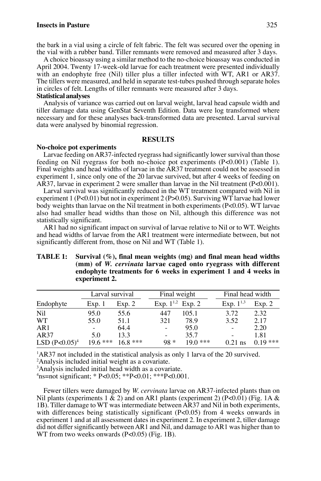# **Insects in Pasture** 325

the bark in a vial using a circle of felt fabric. The felt was secured over the opening in the vial with a rubber band. Tiller remnants were removed and measured after 3 days.

A choice bioassay using a similar method to the no-choice bioassay was conducted in April 2004. Twenty 17-week-old larvae for each treatment were presented individually with an endophyte free (Nil) tiller plus a tiller infected with WT, AR1 or AR37. The tillers were measured, and held in separate test-tubes pushed through separate holes in circles of felt. Lengths of tiller remnants were measured after 3 days.

#### **Statistical analyses**

Analysis of variance was carried out on larval weight, larval head capsule width and tiller damage data using GenStat Seventh Edition. Data were log transformed where necessary and for these analyses back-transformed data are presented. Larval survival data were analysed by binomial regression.

#### **RESULTS**

#### **No-choice pot experiments**

Larvae feeding on AR37-infected ryegrass had significantly lower survival than those feeding on Nil ryegrass for both no-choice pot experiments (P<0.001) (Table 1). Final weights and head widths of larvae in the AR37 treatment could not be assessed in experiment 1, since only one of the 20 larvae survived, but after 4 weeks of feeding on AR37, larvae in experiment 2 were smaller than larvae in the Nil treatment (P<0.001).

Larval survival was significantly reduced in the WT treatment compared with Nil in experiment 1 (P<0.01) but not in experiment 2 (P>0.05). Surviving WT larvae had lower body weights than larvae on the Nil treatment in both experiments  $(P<0.05)$ . WT larvae also had smaller head widths than those on Nil, although this difference was not statistically significant.

AR1 had no significant impact on survival of larvae relative to Nil or to WT. Weights and head widths of larvae from the AR1 treatment were intermediate between, but not significantly different from, those on Nil and WT (Table 1).

|                  | Larval survival |           | Final weight          |           | Final head width         |           |
|------------------|-----------------|-----------|-----------------------|-----------|--------------------------|-----------|
| Endophyte        | Exp. 1          | Exp. 2    | Exp. $1^{1,2}$ Exp. 2 |           | Exp. $1^{1,3}$           | Exp. 2    |
| Nil              | 95.0            | 55.6      | 447                   | 105.1     | 3.72                     | 2.32      |
| <b>WT</b>        | 55.0            | 51.1      | 321                   | 78.9      | 3.52                     | 2.17      |
| AR1              | $\sim$          | 64.4      | $\sim$                | 95.0      | $\overline{\phantom{a}}$ | 2.20      |
| AR37             | 5.0             | 13.3      | ۰                     | 35.7      | ۰                        | 1.81      |
| LSD $(P<0.05)^4$ | $19.6***$       | $16.8***$ | $98 *$                | $190$ *** | $0.21$ ns                | $0.19***$ |

# **TABLE 1: Survival (%), final mean weights (mg) and final mean head widths (mm) of** *W. cervinata* **larvae caged onto ryegrass with different endophyte treatments for 6 weeks in experiment 1 and 4 weeks in experiment 2.**

<sup>1</sup>AR37 not included in the statistical analysis as only 1 larva of the 20 survived.

2 Analysis included initial weight as a covariate.

3 Analysis included initial head width as a covariate.

4 ns=not significant; \* P<0.05; \*\*P<0.01; \*\*\*P<0.001.

Fewer tillers were damaged by *W. cervinata* larvae on AR37-infected plants than on Nil plants (experiments 1 & 2) and on AR1 plants (experiment 2) (P<0.01) (Fig. 1A & 1B). Tiller damage to WT was intermediate between AR37 and Nil in both experiments, with differences being statistically significant (P<0.05) from 4 weeks onwards in experiment 1 and at all assessment dates in experiment 2. In experiment 2, tiller damage did not differ significantly between AR1 and Nil, and damage to AR1 was higher than to WT from two weeks onwards (P<0.05) (Fig. 1B).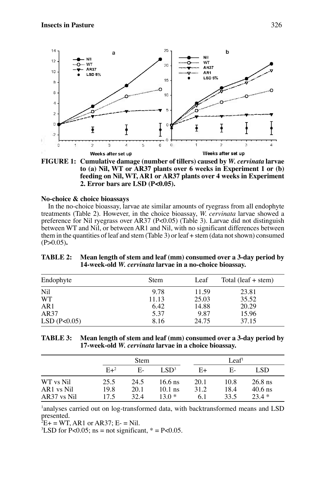

**FIGURE 1: Cumulative damage (number of tillers) caused by** *W. cervinata* **larvae to (a) Nil, WT or AR37 plants over 6 weeks in Experiment 1 or (b) feeding on Nil, WT, AR1 or AR37 plants over 4 weeks in Experiment 2. Error bars are LSD (P<0.05).**

# **No-choice & choice bioassays**

In the no-choice bioassay, larvae ate similar amounts of ryegrass from all endophyte treatments (Table 2). However, in the choice bioassay, *W. cervinata* larvae showed a preference for Nil ryegrass over AR37 (P<0.05) (Table 3). Larvae did not distinguish between WT and Nil, or between AR1 and Nil, with no significant differences between them in the quantities of leaf and stem (Table 3) or leaf + stem (data not shown) consumed (P>0.05)**.**

| <b>TABLE 2:</b> Mean length of stem and leaf (mm) consumed over a 3-day period by |
|-----------------------------------------------------------------------------------|
| 14-week-old W. <i>cervinata</i> larvae in a no-choice bioassay.                   |

| Endophyte   | Stem  | Leaf  | Total (leaf $+$ stem) |  |
|-------------|-------|-------|-----------------------|--|
| Nil         | 9.78  | 11.59 | 23.81                 |  |
| <b>WT</b>   | 11.13 | 25.03 | 35.52                 |  |
| AR1         | 6.42  | 14.88 | 20.29                 |  |
| AR37        | 5.37  | 9.87  | 15.96                 |  |
| LSD(P<0.05) | 8.16  | 24.75 | 37.15                 |  |

| TABLE 3: Mean length of stem and leaf (mm) consumed over a 3-day period by |
|----------------------------------------------------------------------------|
| 17-week-old W. cervinata larvae in a choice bioassay.                      |

|             |        | Stem |                  |      | Leaf <sup>1</sup> |           |
|-------------|--------|------|------------------|------|-------------------|-----------|
|             | $E+^2$ | Е-   | LSD <sup>3</sup> | E+   | E-                | LSD.      |
| WT vs Nil   | 25.5   | 24.5 | $16.6$ ns        | 20.1 | 10.8              | $26.8$ ns |
| AR1 vs Nil  | 19.8   | 20.1 | $10.1$ ns        | 31.2 | 18.4              | $40.6$ ns |
| AR37 vs Nil | 17.5   | 32.4 | $130*$           | 6.1  | 33.5              | $23.4*$   |

<sup>1</sup>analyses carried out on log-transformed data, with backtransformed means and LSD presented.

 $E^2E + WT$ , AR1 or AR37; E- = Nil.

 ${}^{3}$ LSD for P<0.05; ns = not significant,  ${}^{*}$  = P<0.05.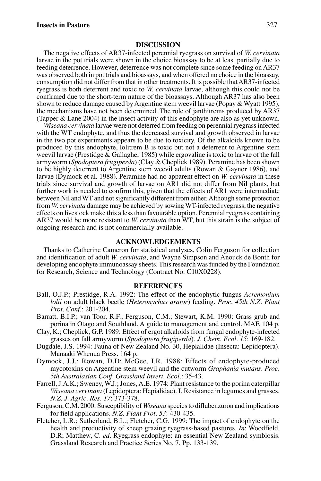#### **DISCUSSION**

The negative effects of AR37-infected perennial ryegrass on survival of *W. cervinata* larvae in the pot trials were shown in the choice bioassay to be at least partially due to feeding deterrence. However, deterrence was not complete since some feeding on AR37 was observed both in pot trials and bioassays, and when offered no choice in the bioassay, consumption did not differ from that in other treatments. It is possible that AR37-infected ryegrass is both deterrent and toxic to *W. cervinata* larvae, although this could not be confirmed due to the short-term nature of the bioassays. Although AR37 has also been shown to reduce damage caused by Argentine stem weevil larvae (Popay & Wyatt 1995), the mechanisms have not been determined. The role of janthitrems produced by AR37 (Tapper & Lane 2004) in the insect activity of this endophyte are also as yet unknown.

*Wiseana cervinata* larvae were not deterred from feeding on perennial ryegrass infected with the WT endophyte, and thus the decreased survival and growth observed in larvae in the two pot experiments appears to be due to toxicity. Of the alkaloids known to be produced by this endophyte, lolitrem B is toxic but not a deterrent to Argentine stem weevil larvae (Prestidge & Gallagher 1985) while ergovaline is toxic to larvae of the fall armyworm (*Spodoptera frugiperda*) (Clay & Cheplick 1989). Peramine has been shown to be highly deterrent to Argentine stem weevil adults (Rowan & Gaynor 1986), and larvae (Dymock et al. 1988). Peramine had no apparent effect on *W. cervinata* in these trials since survival and growth of larvae on AR1 did not differ from Nil plants, but further work is needed to confirm this, given that the effects of AR1 were intermediate between Nil and WT and not significantly different from either. Although some protection from *W. cervinata* damage may be achieved by sowing WT-infected ryegrass, the negative effects on livestock make this a less than favourable option. Perennial ryegrass containing AR37 would be more resistant to *W. cervinata* than WT, but this strain is the subject of ongoing research and is not commercially available.

#### **ACKNOWLEDGEMENTS**

Thanks to Catherine Cameron for statistical analyses, Colin Ferguson for collection and identification of adult *W. cervinata*, and Wayne Simpson and Anouck de Bonth for developing endophyte immunoassay sheets. This research was funded by the Foundation for Research, Science and Technology (Contract No. C10X0228).

#### **REFERENCES**

- Ball, O.J.P.; Prestidge, R.A. 1992: The effect of the endophytic fungus *Acremonium lolii* on adult black beetle (*Heteronychus arator*) feeding. *Proc. 45th N.Z. Plant Prot. Conf*.: 201-204.
- Barratt, B.I.P.; van Toor, R.F.; Ferguson, C.M.; Stewart, K.M. 1990: Grass grub and porina in Otago and Southland. A guide to management and control. MAF. 104 p.
- Clay, K.; Cheplick, G.P. 1989: Effect of ergot alkaloids from fungal endophyte-infected grasses on fall armyworm (*Spodoptera frugiperda*). *J. Chem. Ecol. 15*: 169-182.
- Dugdale, J.S. 1994: Fauna of New Zealand No. 30, Hepialidae (Insecta: Lepidoptera). Manaaki Whenua Press. 164 p.
- Dymock, J.J.; Rowan, D.D; McGee, I.R. 1988: Effects of endophyte-produced mycotoxins on Argentine stem weevil and the cutworm *Graphania mutans*. *Proc. 5th Australasian Conf. Grassland Invert. Ecol.*: 35-43.
- Farrell, J.A.K.; Sweney, W.J.; Jones, A.E. 1974: Plant resistance to the porina caterpillar *Wiseana cervinata* (Lepidoptera: Hepialidae). I. Resistance in legumes and grasses. *N.Z. J. Agric. Res. 17*: 373-378.
- Ferguson, C.M. 2000: Susceptibility of *Wiseana* species to diflubenzuron and implications for field applications. *N.Z. Plant Prot. 53*: 430-435.
- Fletcher, L.R.; Sutherland, B.L.; Fletcher, C.G. 1999: The impact of endophyte on the health and productivity of sheep grazing ryegrass-based pastures. *In*: Woodfield, D.R; Matthew, C. *ed.* Ryegrass endophyte: an essential New Zealand symbiosis. Grassland Research and Practice Series No. 7. Pp. 133-139.